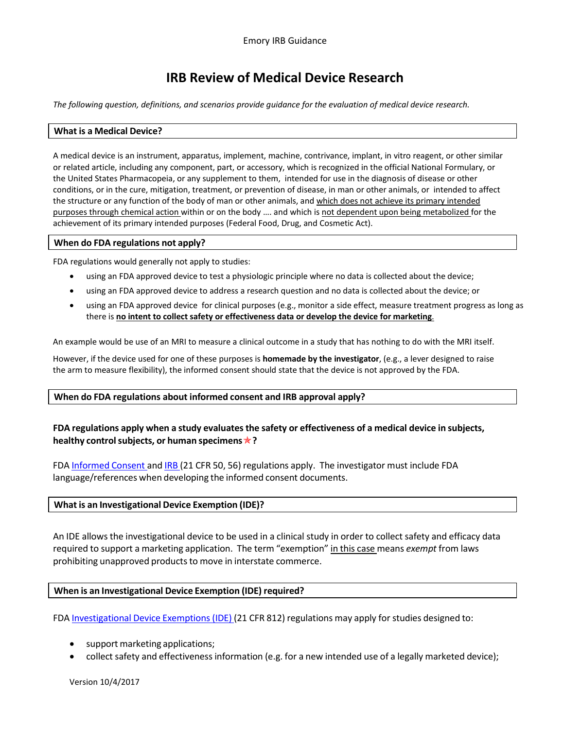# **IRB Review of Medical Device Research**

*The following question, definitions, and scenarios provide guidance for the evaluation of medical device research.*

#### **What is a Medical Device?**

A medical device is an instrument, apparatus, implement, machine, contrivance, implant, in vitro reagent, or other similar or related article, including any component, part, or accessory, which is recognized in the official National Formulary, or the United States Pharmacopeia, or any supplement to them, intended for use in the diagnosis of disease or other conditions, or in the cure, mitigation, treatment, or prevention of disease, in man or other animals, or intended to affect the structure or any function of the body of man or other animals, and which does not achieve its primary intended purposes through chemical action within or on the body …. and which is not dependent upon being metabolized for the achievement of its primary intended purposes (Federal Food, Drug, and Cosmetic Act).

#### **When do FDA regulations not apply?**

FDA regulations would generally not apply to studies:

- using an FDA approved device to test a physiologic principle where no data is collected about the device;
- using an FDA approved device to address a research question and no data is collected about the device; or
- using an FDA approved device for clinical purposes (e.g., monitor a side effect, measure treatment progress as long as there is **no intent to collect safety or effectiveness data or develop the device for marketing**.

An example would be use of an MRI to measure a clinical outcome in a study that has nothing to do with the MRI itself.

However, if the device used for one of these purposes is **homemade by the investigator**, (e.g., a lever designed to raise the arm to measure flexibility), the informed consent should state that the device is not approved by the FDA.

### **When do FDA regulations about informed consent and IRB approval apply?**

# **FDA regulations apply when a study evaluatesthe safety or effectiveness of a medical device in subjects, healthy controlsubjects, or human specimens?**

FDA [Informed](http://www.accessdata.fda.gov/scripts/cdrh/cfdocs/cfCFR/CFRSearch.cfm?CFRPart=50) Consent and [IRB](http://www.accessdata.fda.gov/scripts/cdrh/cfdocs/cfCFR/CFRSearch.cfm?CFRPart=56) (21 CFR 50, 56) regulations apply. The investigator must include FDA language/references when developing the informed consent documents.

### **What is an Investigational Device Exemption (IDE)?**

An IDE allows the investigational device to be used in a clinical study in order to collect safety and efficacy data required to support a marketing application. The term "exemption" in this case means *exempt* from laws prohibiting unapproved products to move in interstate commerce.

### **When is an Investigational Device Exemption (IDE) required?**

FDA [Investigational](http://www.accessdata.fda.gov/scripts/cdrh/cfdocs/cfCFR/CFRSearch.cfm?CFRPart=812) Device Exemptions (IDE) (21 CFR 812) regulations may apply for studies designed to:

- support marketing applications;
- collect safety and effectiveness information (e.g. for a new intended use of a legally marketed device);

Version 10/4/2017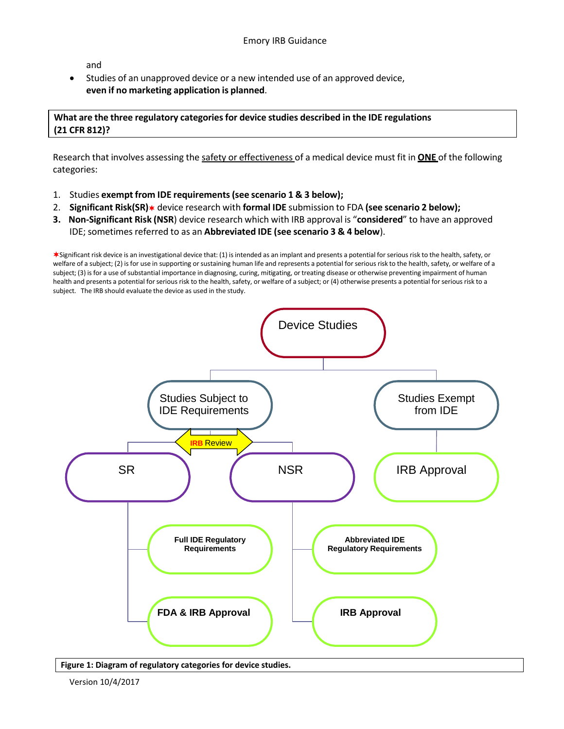and

• Studies of an unapproved device or a new intended use of an approved device, **even if no marketing application is planned**.

**What are the three regulatory categoriesfor device studies described in the IDE regulations (21 CFR 812)?**

Research that involves assessing the safety or effectiveness of a medical device must fit in **ONE** of the following categories:

- 1. Studies **exempt from IDE requirements(see scenario 1 & 3 below);**
- 2. **Significant Risk(SR)** device research with **formal IDE** submission to FDA **(see scenario 2 below);**
- **3. Non-Significant Risk (NSR**) device research which with IRB approval is "**considered**" to have an approved IDE; sometimes referred to as an **Abbreviated IDE (see scenario 3 & 4 below**).

Significant risk device is an investigational device that: (1) isintended as an implant and presents a potential forserious risk to the health, safety, or welfare of a subject; (2) is for use in supporting or sustaining human life and represents a potential for serious risk to the health, safety, or welfare of a subject; (3) is for a use of substantial importance in diagnosing, curing, mitigating, or treating disease or otherwise preventing impairment of human health and presents a potential for serious risk to the health, safety, or welfare of a subject; or (4) otherwise presents a potential for serious risk to a subject. The IRB should evaluate the device as used in the study.



**Figure 1: Diagram of regulatory categories for device studies.**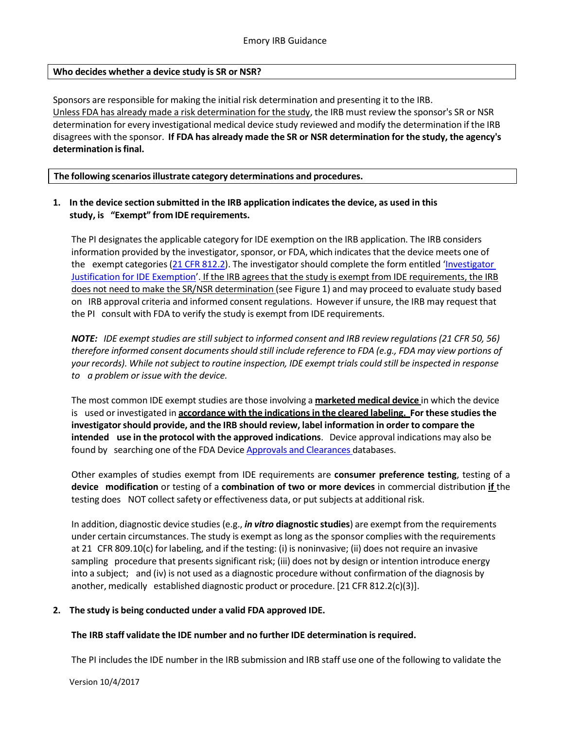### **Who decides whether a device study is SR or NSR?**

Sponsors are responsible for making the initial risk determination and presenting it to the IRB. Unless FDA has already made a risk determination for the study, the IRB must review the sponsor's SR or NSR determination for every investigational medical device study reviewed and modify the determination if the IRB disagrees with the sponsor. **If FDA has already made the SR or NSR determination for the study, the agency's determination isfinal.**

**The following scenariosillustrate category determinations and procedures.**

# **1. In the device section submitted in the IRB application indicatesthe device, as used in this study, is "Exempt" from IDE requirements.**

The PI designates the applicable category for IDE exemption on the IRB application. The IRB considers information provided by the investigator, sponsor, or FDA, which indicates that the device meets one of the exempt categories(21 CFR [812.2\)](http://www.accessdata.fda.gov/scripts/cdrh/cfdocs/cfcfr/CFRSearch.cfm?FR=812.2). The investigator should complete the form entitled ['Investigator](http://www.irb.emory.edu/documents/Investigator-Justification-IDE-Exemption.docx)  [Justification for IDE Exemption'](http://www.irb.emory.edu/documents/Investigator-Justification-IDE-Exemption.docx). If the IRB agrees that the study is exempt from IDE requirements, the IRB does not need to make the SR/NSR determination (see Figure 1) and may proceed to evaluate study based on IRB approval criteria and informed consent regulations. However if unsure, the IRB may request that the PI consult with FDA to verify the study is exempt from IDE requirements.

*NOTE: IDE* exempt studies are still subject to *informed* consent and *IRB* review regulations (21 CFR 50, 56) *therefore informed consent documentsshould still include reference to FDA (e.g., FDA may view portions of* your records). While not subject to routine inspection, IDE exempt trials could still be inspected in response *to a problem or issue with the device.*

The most common IDE exempt studies are those involving a **marketed medical device** in which the device is used or investigated in **accordance with the indicationsin the cleared labeling. For these studiesthe investigatorshould provide, and the IRB should review, label information in order to compare the intended use in the protocol with the approved indications**. Device approval indications may also be found by searching one of the FDA Device Approvals and [Clearances](http://www.fda.gov/MedicalDevices/default.htm) databases.

Other examples of studies exempt from IDE requirements are **consumer preference testing**, testing of a **device modification** or testing of a **combination of two or more devices** in commercial distribution **if** the testing does NOT collect safety or effectiveness data, or put subjects at additional risk.

In addition, diagnostic device studies (e.g., *in vitro* **diagnostic studies**) are exempt from the requirements under certain circumstances. The study is exempt as long as the sponsor complies with the requirements at 21 CFR 809.10(c) for labeling, and if the testing: (i) is noninvasive; (ii) does not require an invasive sampling procedure that presents significant risk; (iii) does not by design or intention introduce energy into a subject; and (iv) is not used as a diagnostic procedure without confirmation of the diagnosis by another, medically established diagnostic product or procedure. [21 CFR 812.2(c)(3)].

# **2. The study is being conducted under a valid FDA approved IDE.**

# **The IRB staff validate the IDE number and no further IDE determination isrequired.**

The PI includes the IDE number in the IRB submission and IRB staff use one of the following to validate the

Version 10/4/2017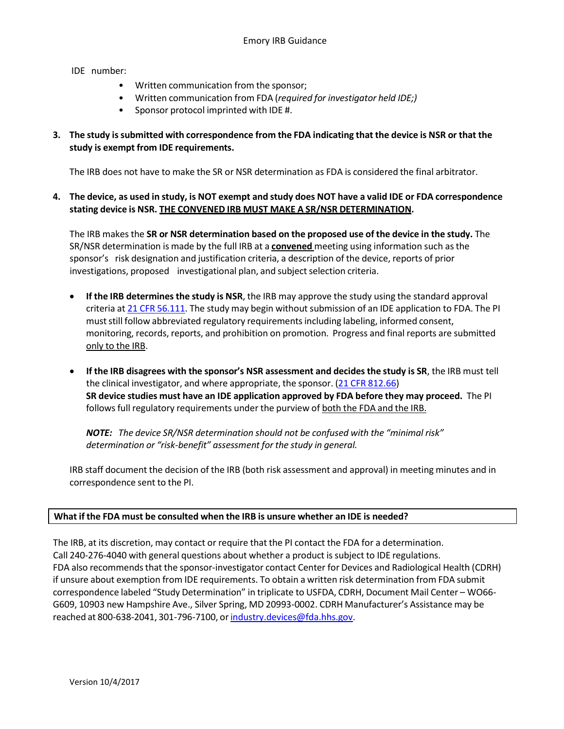IDE number:

- Written communication from the sponsor;
- Written communication from FDA (*required for investigator held IDE;)*
- Sponsor protocol imprinted with IDE #.

# 3. The study is submitted with correspondence from the FDA indicating that the device is NSR or that the **study is exempt from IDE requirements.**

The IRB does not have to make the SR or NSR determination as FDA is considered the final arbitrator.

# 4. The device, as used in study, is NOT exempt and study does NOT have a valid IDE or FDA correspondence **stating device is NSR. THE CONVENED IRB MUST MAKE A SR/NSR DETERMINATION.**

The IRB makes the **SR or NSR determination based on the proposed use of the device in the study.** The SR/NSR determination is made by the full IRB at a **convened** meeting using information such asthe sponsor's risk designation and justification criteria, a description of the device, reports of prior investigations, proposed investigational plan, and subject selection criteria.

- **If the IRB determines the study is NSR**, the IRB may approve the study using the standard approval criteria at 21 CFR [56.111.](http://www.accessdata.fda.gov/scripts/cdrh/cfdocs/cfCFR/CFRSearch.cfm?fr=812.66) The study may begin without submission of an IDE application to FDA. The PI must still follow abbreviated regulatory requirements including labeling, informed consent, monitoring, records, reports, and prohibition on promotion. Progress and final reports are submitted only to the IRB.
- **If the IRB disagrees with the sponsor's NSR assessment and decides the study is SR**, the IRB must tell the clinical investigator, and where appropriate, the sponsor. (21 CFR [812.66\)](http://www.accessdata.fda.gov/scripts/cdrh/cfdocs/cfCFR/CFRSearch.cfm?fr=812.66) **SR device studies must have an IDE application approved by FDA before they may proceed.** The PI follows full regulatory requirements under the purview of both the FDA and the IRB.

*NOTE: The device SR/NSR determination should not be confused with the "minimal risk" determination or "risk-benefit" assessment for the study in general.*

IRB staff document the decision of the IRB (both risk assessment and approval) in meeting minutes and in correspondence sent to the PI.

# **What if the FDA must be consulted when the IRB is unsure whether an IDE is needed?**

The IRB, at its discretion, may contact or require that the PI contact the FDA for a determination. Call 240-276-4040 with general questions about whether a product is subject to IDE regulations. FDA also recommends that the sponsor-investigator contact Center for Devices and Radiological Health (CDRH) if unsure about exemption from IDE requirements. To obtain a written risk determination from FDA submit correspondence labeled "Study Determination" in triplicate to USFDA, CDRH, Document Mail Center – WO66- G609, 10903 new Hampshire Ave., Silver Spring, MD 20993-0002. CDRH Manufacturer's Assistance may be reached at 800-638-2041, 301-796-7100, or industry.devices@fda.hhs.gov.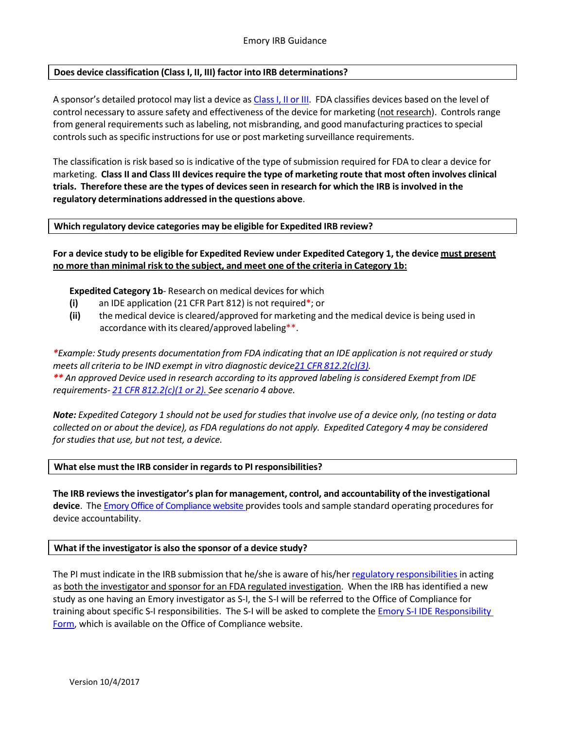# **Does device classification (Class I, II, III) factor into IRB determinations?**

A sponsor's detailed protocol may list a device as Class I, II or III. FDA classifies devices based on the level of control necessary to assure safety and effectiveness of the device for marketing (not research). Controlsrange from general requirements such as labeling, not misbranding, and good manufacturing practices to special controls such as specific instructions for use or post marketing surveillance requirements.

The classification is risk based so is indicative of the type of submission required for FDA to clear a device for marketing. **Class II and ClassIII devicesrequire the type of marketing route that most often involves clinical trials. Therefore these are the types of devicesseen in research for which the IRB isinvolved in the regulatory determinations addressed in the questions above**.

### **Which regulatory device categories may be eligible for Expedited IRB review?**

For a device study to be eligible for Expedited Review under Expedited Category 1, the device must present **no more than minimal risk to the subject, and meet one of the criteria in Category 1b:**

# **Expedited Category 1b**- Research on medical devices for which

- **(i)** an IDE application (21 CFR Part 812) is not required\*; or
- **(ii)** the medical device is cleared/approved for marketing and the medical device is being used in accordance with its cleared/approved labeling\*\*.

\*Example: Study presents documentation from FDA indicating that an IDE application is not required or study *meets all criteria to be IND exempt in vitro diagnostic device21 CFR [812.2\(c\)\(3\).](http://www.accessdata.fda.gov/scripts/cdrh/cfdocs/cfcfr/CFRSearch.cfm) \*\* An approved Device used in research according to its approved labeling is considered Exempt from IDE requirements- 21 CFR [812.2\(c\)\(1](http://www.accessdata.fda.gov/scripts/cdrh/cfdocs/cfcfr/CFRSearch.cfm) or 2). See scenario 4 above.*

Note: Expedited Category 1 should not be used for studies that involve use of a device only, (no testing or data collected on or about the device), as FDA regulations do not apply. Expedited Category 4 may be considered *for studies that use, but not test, a device.*

### **What else must the IRB consider in regards to PI responsibilities?**

**The IRB reviewsthe investigator's plan for management, control, and accountability of the investigational device**. The [Emory Office of Compliance](http://compliance.emory.edu/FDA-regulated-studies/device-studies.html) website provides tools and sample standard operating procedures for device accountability.

### **What if the investigator is also the sponsor of a device study?**

The PI must indicate in the IRB submission that he/she is aware of his/her regulatory [responsibilities](http://www.accessdata.fda.gov/scripts/cdrh/cfdocs/cfcfr/CFRSearch.cfm?CFRPart=812&showFR=1&subpartNode=21%3A8.0.1.1.9.3) in acting as both the investigator and sponsor for an FDA regulated investigation. When the IRB has identified a new study as one having an Emory investigator as S-I, the S-I will be referred to the Office of Compliance for training about specific S-I responsibilities. The S-I will be asked to complete the [Emory S-I IDE Responsibility](http://compliance.emory.edu/documents/S-I_IDE_Responsibilities_Form.doc)  [Form,](http://compliance.emory.edu/documents/S-I_IDE_Responsibilities_Form.doc) which is available on the Office of Compliance website.